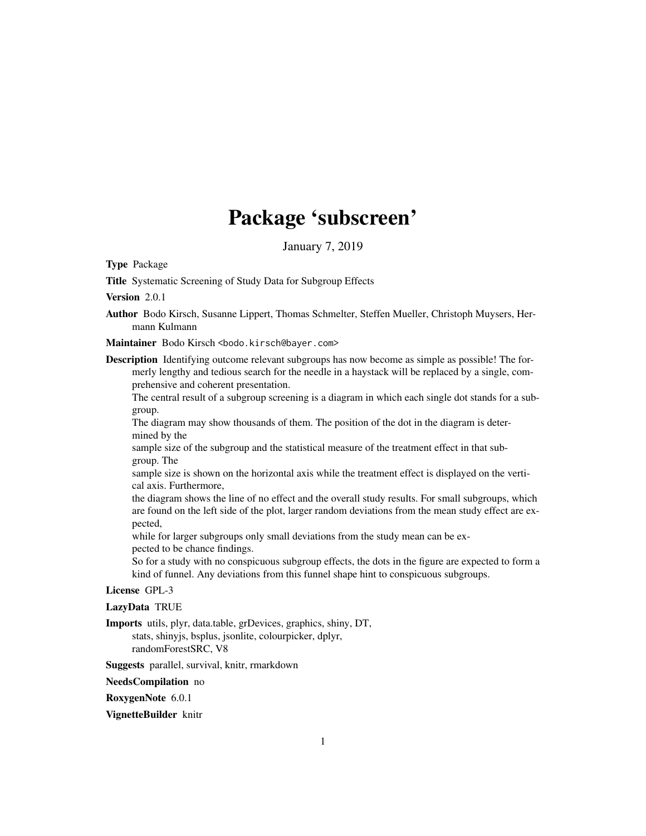## Package 'subscreen'

January 7, 2019

Type Package

Title Systematic Screening of Study Data for Subgroup Effects

Version 2.0.1

Author Bodo Kirsch, Susanne Lippert, Thomas Schmelter, Steffen Mueller, Christoph Muysers, Hermann Kulmann

Maintainer Bodo Kirsch <br/>bodo.kirsch@bayer.com>

Description Identifying outcome relevant subgroups has now become as simple as possible! The formerly lengthy and tedious search for the needle in a haystack will be replaced by a single, comprehensive and coherent presentation.

The central result of a subgroup screening is a diagram in which each single dot stands for a subgroup.

The diagram may show thousands of them. The position of the dot in the diagram is determined by the

sample size of the subgroup and the statistical measure of the treatment effect in that subgroup. The

sample size is shown on the horizontal axis while the treatment effect is displayed on the vertical axis. Furthermore,

the diagram shows the line of no effect and the overall study results. For small subgroups, which are found on the left side of the plot, larger random deviations from the mean study effect are expected,

while for larger subgroups only small deviations from the study mean can be expected to be chance findings.

So for a study with no conspicuous subgroup effects, the dots in the figure are expected to form a kind of funnel. Any deviations from this funnel shape hint to conspicuous subgroups.

#### License GPL-3

LazyData TRUE

Imports utils, plyr, data.table, grDevices, graphics, shiny, DT, stats, shinyjs, bsplus, jsonlite, colourpicker, dplyr, randomForestSRC, V8

Suggests parallel, survival, knitr, rmarkdown

NeedsCompilation no

RoxygenNote 6.0.1

VignetteBuilder knitr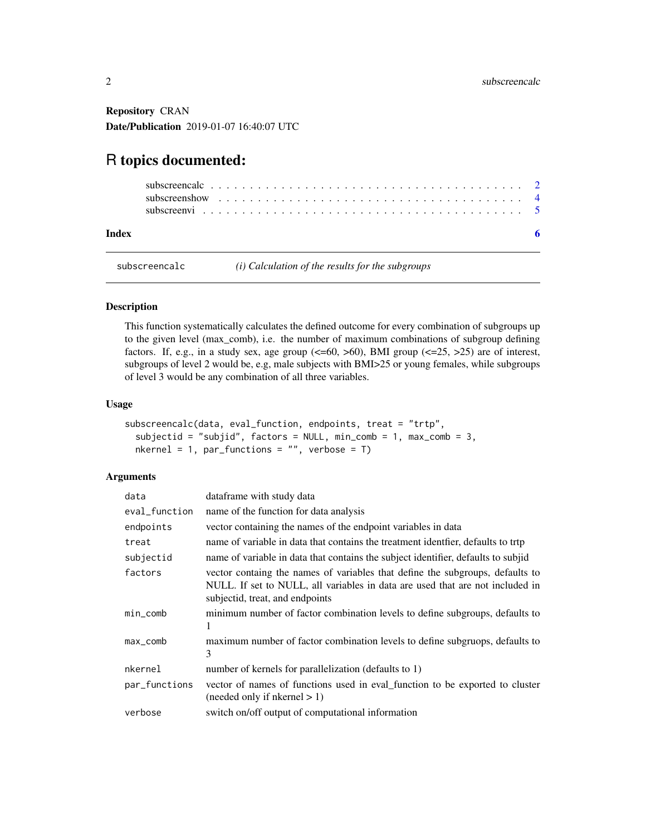<span id="page-1-0"></span>Repository CRAN Date/Publication 2019-01-07 16:40:07 UTC

### R topics documented:

| Index |  |  |  |  |  |  |  |  |  |  |  |  |  |  |  |  |  |
|-------|--|--|--|--|--|--|--|--|--|--|--|--|--|--|--|--|--|

subscreencalc *(i) Calculation of the results for the subgroups*

#### Description

This function systematically calculates the defined outcome for every combination of subgroups up to the given level (max\_comb), i.e. the number of maximum combinations of subgroup defining factors. If, e.g., in a study sex, age group  $\left(\langle=60, >60\right)$ , BMI group  $\left(\langle=25, >25\right)$  are of interest, subgroups of level 2 would be, e.g, male subjects with BMI>25 or young females, while subgroups of level 3 would be any combination of all three variables.

#### Usage

```
subscreencalc(data, eval_function, endpoints, treat = "trtp",
 subjectid = "subjid", factors = NULL, min_comb = 1, max_comb = 3,
 nkernel = 1, par\_functions = "", verbose = T)
```
#### Arguments

| data          | dataframe with study data                                                                                                                                                                         |
|---------------|---------------------------------------------------------------------------------------------------------------------------------------------------------------------------------------------------|
| eval_function | name of the function for data analysis                                                                                                                                                            |
| endpoints     | vector containing the names of the endpoint variables in data                                                                                                                                     |
| treat         | name of variable in data that contains the treatment identifier, defaults to trtp                                                                                                                 |
| subjectid     | name of variable in data that contains the subject identifier, defaults to subjid                                                                                                                 |
| factors       | vector containg the names of variables that define the subgroups, defaults to<br>NULL. If set to NULL, all variables in data are used that are not included in<br>subjectid, treat, and endpoints |
| $min\_comb$   | minimum number of factor combination levels to define subgroups, defaults to<br>1                                                                                                                 |
| max_comb      | maximum number of factor combination levels to define subgruops, defaults to<br>3                                                                                                                 |
| nkernel       | number of kernels for parallelization (defaults to 1)                                                                                                                                             |
| par_functions | vector of names of functions used in eval_function to be exported to cluster<br>$(n \neq 1)$ (needed only if nkernel $> 1$ )                                                                      |
| verbose       | switch on/off output of computational information                                                                                                                                                 |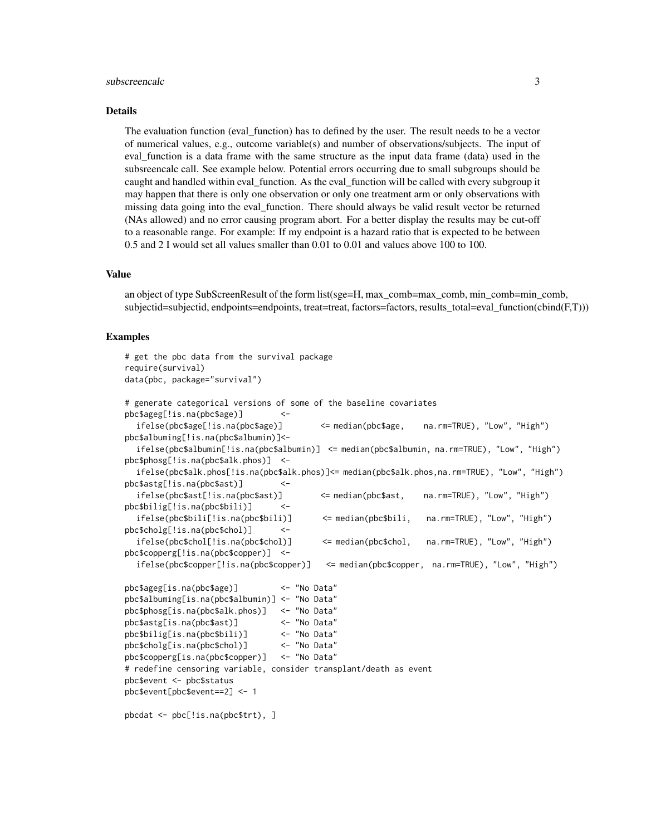#### subscreencalc 3

#### Details

The evaluation function (eval\_function) has to defined by the user. The result needs to be a vector of numerical values, e.g., outcome variable(s) and number of observations/subjects. The input of eval\_function is a data frame with the same structure as the input data frame (data) used in the subsreencalc call. See example below. Potential errors occurring due to small subgroups should be caught and handled within eval\_function. As the eval\_function will be called with every subgroup it may happen that there is only one observation or only one treatment arm or only observations with missing data going into the eval\_function. There should always be valid result vector be returned (NAs allowed) and no error causing program abort. For a better display the results may be cut-off to a reasonable range. For example: If my endpoint is a hazard ratio that is expected to be between 0.5 and 2 I would set all values smaller than 0.01 to 0.01 and values above 100 to 100.

#### Value

an object of type SubScreenResult of the form list(sge=H, max\_comb=max\_comb, min\_comb=min\_comb, subjectid=subjectid, endpoints=endpoints, treat=treat, factors=factors, results\_total=eval\_function(cbind(F,T)))

#### Examples

```
# get the pbc data from the survival package
require(survival)
data(pbc, package="survival")
# generate categorical versions of some of the baseline covariates
pbc$ageg[!is.na(pbc$age)] <-
  ifelse(pbc$age[!is.na(pbc$age)] <= median(pbc$age, na.rm=TRUE), "Low", "High")
pbc$albuming[!is.na(pbc$albumin)]<-
  ifelse(pbc$albumin[!is.na(pbc$albumin)] <= median(pbc$albumin, na.rm=TRUE), "Low", "High")
pbc$phosg[!is.na(pbc$alk.phos)] <-
  ifelse(pbc$alk.phos[!is.na(pbc$alk.phos)]<= median(pbc$alk.phos,na.rm=TRUE), "Low", "High")
pbc$astg[!is.na(pbc$ast)] <-
  ifelse(pbc$ast[!is.na(pbc$ast)] <= median(pbc$ast, na.rm=TRUE), "Low", "High")
pbc$bilig[!is.na(pbc$bili)] <-
  ifelse(pbc$bili[!is.na(pbc$bili)] <= median(pbc$bili, na.rm=TRUE), "Low", "High")
pbc$cholg[!is.na(pbc$chol)] <-
  ifelse(pbc$chol[!is.na(pbc$chol)] <= median(pbc$chol, na.rm=TRUE), "Low", "High")
pbc$copperg[!is.na(pbc$copper)] <-
  ifelse(pbc$copper[!is.na(pbc$copper)] <= median(pbc$copper, na.rm=TRUE), "Low", "High")
pbc$ageg[is.na(pbc$age)] <- "No Data"
pbc$albuming[is.na(pbc$albumin)] <- "No Data"
pbc$phosg[is.na(pbc$alk.phos)] <- "No Data"
pbc$astg[is.na(pbc$ast)] <- "No Data"
pbc$bilig[is.na(pbc$bili)] <- "No Data"
pbc$cholg[is.na(pbc$chol)] <- "No Data"
pbc$copperg[is.na(pbc$copper)] <- "No Data"
# redefine censoring variable, consider transplant/death as event
pbc$event <- pbc$status
pbc$event[pbc$event==2] <- 1
pbcdat <- pbc[!is.na(pbc$trt), ]
```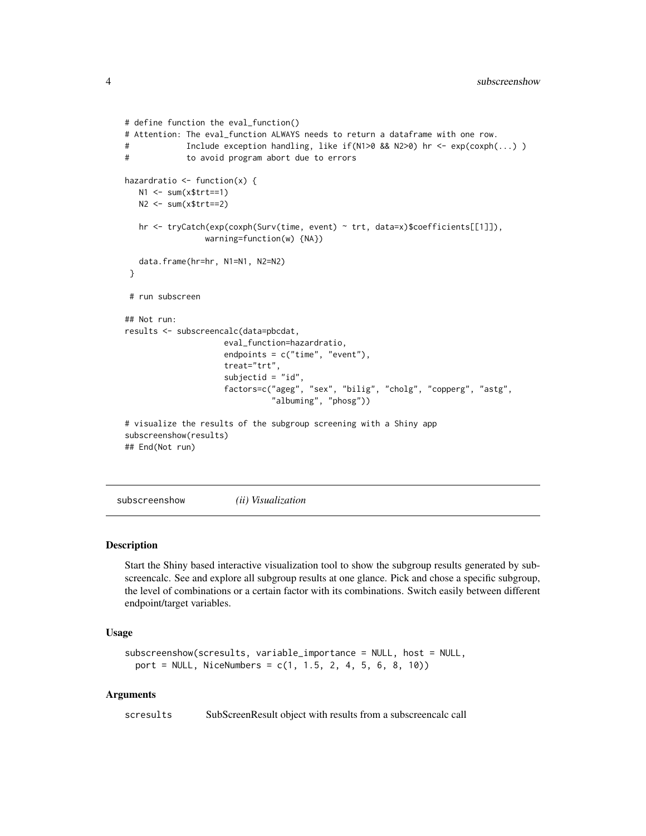```
# define function the eval_function()
# Attention: The eval_function ALWAYS needs to return a dataframe with one row.
# Include exception handling, like if(N1>0 && N2>0) hr <- exp(coxph(...) )
# to avoid program abort due to errors
hazardratio \leq function(x) {
  N1 <- sum(x$trt==1)
  N2 <- sum(x$trt==2)
  hr <- tryCatch(exp(coxph(Surv(time, event) ~ trt, data=x)$coefficients[[1]]),
                warning=function(w) {NA})
   data.frame(hr=hr, N1=N1, N2=N2)
 }
 # run subscreen
## Not run:
results <- subscreencalc(data=pbcdat,
                    eval_function=hazardratio,
                    endpoints = c("time", "event"),
                    treat="trt",
                     subjectid = "id",
                    factors=c("ageg", "sex", "bilig", "cholg", "copperg", "astg",
                               "albuming", "phosg"))
# visualize the results of the subgroup screening with a Shiny app
subscreenshow(results)
## End(Not run)
```
subscreenshow *(ii) Visualization*

#### Description

Start the Shiny based interactive visualization tool to show the subgroup results generated by subscreencalc. See and explore all subgroup results at one glance. Pick and chose a specific subgroup, the level of combinations or a certain factor with its combinations. Switch easily between different endpoint/target variables.

#### Usage

```
subscreenshow(scresults, variable_importance = NULL, host = NULL,
 port = NULL, NiceNumbers = c(1, 1.5, 2, 4, 5, 6, 8, 10)
```
#### Arguments

scresults SubScreenResult object with results from a subscreencalc call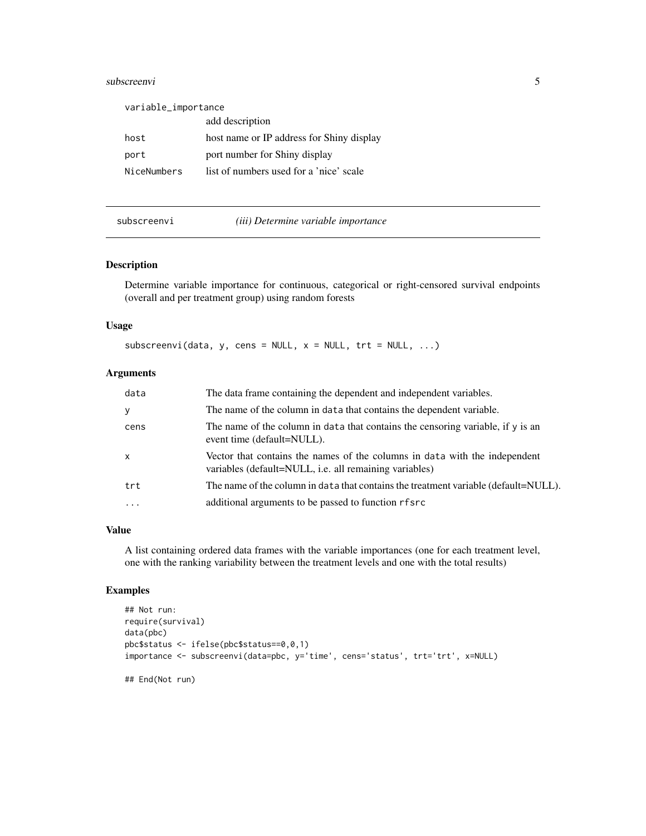#### <span id="page-4-0"></span>subscreenvi 5

| variable_importance |                                           |
|---------------------|-------------------------------------------|
|                     | add description                           |
| host                | host name or IP address for Shiny display |
| port                | port number for Shiny display             |
| NiceNumbers         | list of numbers used for a 'nice' scale   |

#### subscreenvi *(iii) Determine variable importance*

#### Description

Determine variable importance for continuous, categorical or right-censored survival endpoints (overall and per treatment group) using random forests

#### Usage

subscreenvi(data, y, cens = NULL,  $x =$  NULL,  $trt =$  NULL, ...)

#### Arguments

| data         | The data frame containing the dependent and independent variables.                                                                   |
|--------------|--------------------------------------------------------------------------------------------------------------------------------------|
| y            | The name of the column in data that contains the dependent variable.                                                                 |
| cens         | The name of the column in data that contains the censoring variable, if y is an<br>event time (default=NULL).                        |
| $\mathsf{x}$ | Vector that contains the names of the columns in data with the independent<br>variables (default=NULL, i.e. all remaining variables) |
| trt          | The name of the column in data that contains the treatment variable (default=NULL).                                                  |
| $\ddotsc$    | additional arguments to be passed to function rfsrc                                                                                  |

#### Value

A list containing ordered data frames with the variable importances (one for each treatment level, one with the ranking variability between the treatment levels and one with the total results)

#### Examples

```
## Not run:
require(survival)
data(pbc)
pbc$status <- ifelse(pbc$status==0,0,1)
importance <- subscreenvi(data=pbc, y='time', cens='status', trt='trt', x=NULL)
## End(Not run)
```